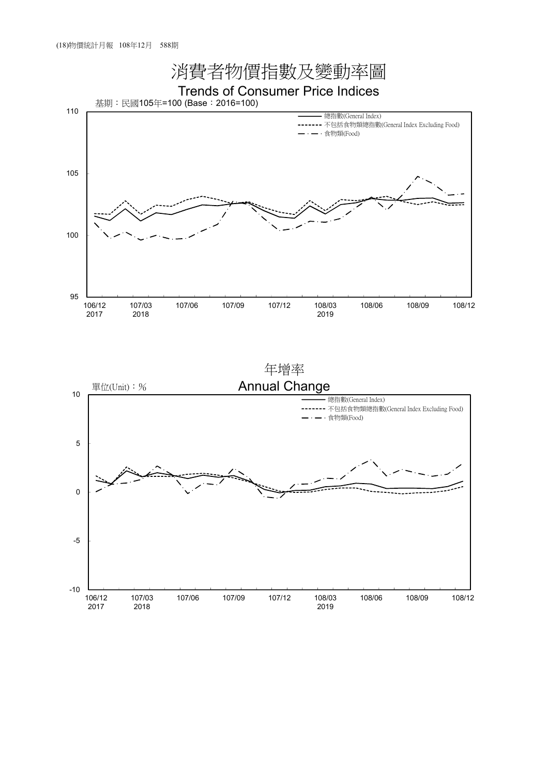

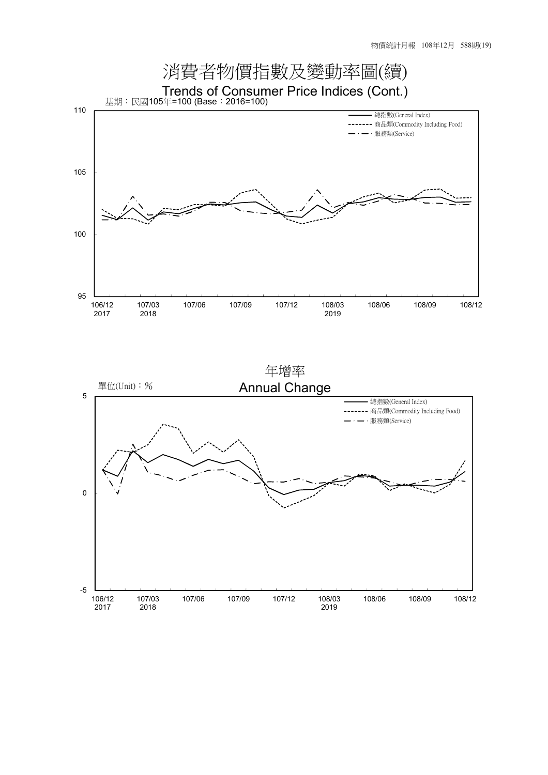